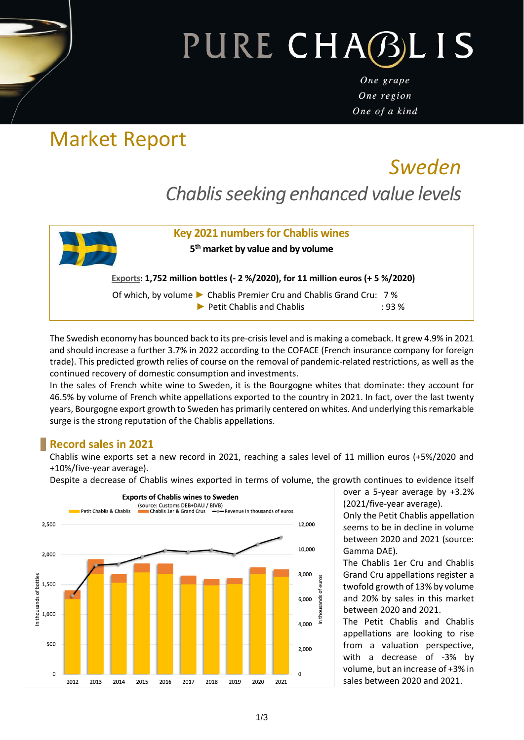### PURE CHABLI **S**

One grape One region One of a kind

# Market Report

## *Sweden Chablis seeking enhanced value levels*



The Swedish economy has bounced back to its pre-crisis level and is making a comeback. It grew 4.9% in 2021 and should increase a further 3.7% in 2022 according to the COFACE (French insurance company for foreign trade). This predicted growth relies of course on the removal of pandemic-related restrictions, as well as the continued recovery of domestic consumption and investments.

In the sales of French white wine to Sweden, it is the Bourgogne whites that dominate: they account for 46.5% by volume of French white appellations exported to the country in 2021. In fact, over the last twenty years, Bourgogne export growth to Sweden has primarily centered on whites. And underlying this remarkable surge is the strong reputation of the Chablis appellations.

#### **Record sales in 2021**

Chablis wine exports set a new record in 2021, reaching a sales level of 11 million euros (+5%/2020 and +10%/five-year average).

Despite a decrease of Chablis wines exported in terms of volume, the growth continues to evidence itself



over a 5-year average by +3.2% (2021/five-year average).

Only the Petit Chablis appellation seems to be in decline in volume between 2020 and 2021 (source: Gamma DAE).

The Chablis 1er Cru and Chablis Grand Cru appellations register a twofold growth of 13% by volume and 20% by sales in this market between 2020 and 2021.

The Petit Chablis and Chablis appellations are looking to rise from a valuation perspective, with a decrease of -3% by volume, but an increase of +3% in sales between 2020 and 2021.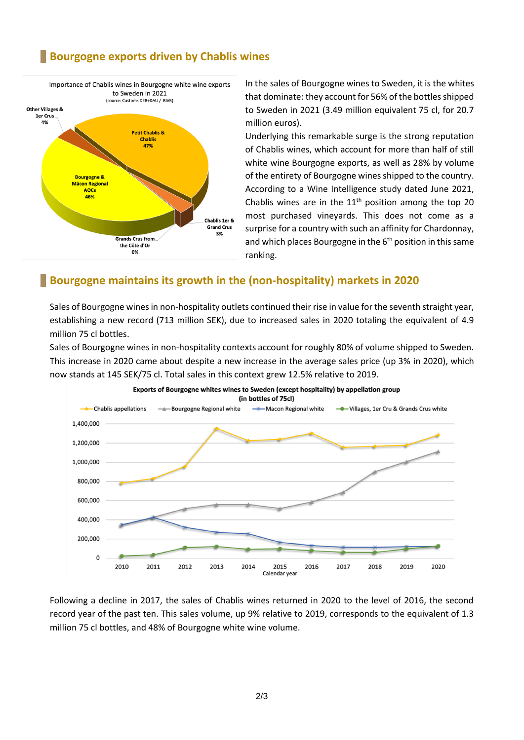#### **Bourgogne exports driven by Chablis wines**



In the sales of Bourgogne wines to Sweden, it is the whites that dominate: they account for 56% of the bottles shipped to Sweden in 2021 (3.49 million equivalent 75 cl, for 20.7 million euros).

Underlying this remarkable surge is the strong reputation of Chablis wines, which account for more than half of still white wine Bourgogne exports, as well as 28% by volume of the entirety of Bourgogne wines shipped to the country. According to a Wine Intelligence study dated June 2021, Chablis wines are in the  $11<sup>th</sup>$  position among the top 20 most purchased vineyards. This does not come as a surprise for a country with such an affinity for Chardonnay, and which places Bourgogne in the  $6<sup>th</sup>$  position in this same ranking.

#### **Bourgogne maintains its growth in the (non-hospitality) markets in 2020**

Sales of Bourgogne wines in non-hospitality outlets continued their rise in value for the seventh straight year, establishing a new record (713 million SEK), due to increased sales in 2020 totaling the equivalent of 4.9 million 75 cl bottles.

Sales of Bourgogne wines in non-hospitality contexts account for roughly 80% of volume shipped to Sweden. This increase in 2020 came about despite a new increase in the average sales price (up 3% in 2020), which now stands at 145 SEK/75 cl. Total sales in this context grew 12.5% relative to 2019.



Following a decline in 2017, the sales of Chablis wines returned in 2020 to the level of 2016, the second record year of the past ten. This sales volume, up 9% relative to 2019, corresponds to the equivalent of 1.3 million 75 cl bottles, and 48% of Bourgogne white wine volume.